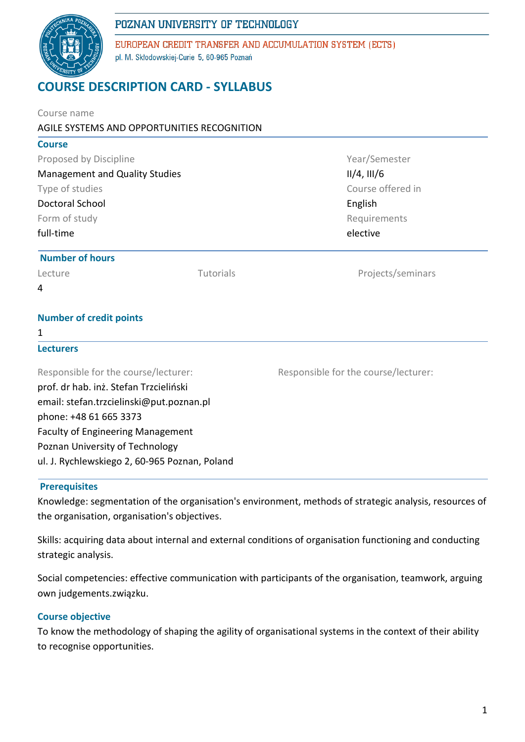# POZNAN UNIVERSITY OF TECHNOLOGY



EUROPEAN CREDIT TRANSFER AND ACCUMULATION SYSTEM (ECTS) pl. M. Skłodowskiej-Curie 5, 60-965 Poznań

# **COURSE DESCRIPTION CARD - SYLLABUS**

| Course name                                   |           |                                      |  |  |  |  |
|-----------------------------------------------|-----------|--------------------------------------|--|--|--|--|
| AGILE SYSTEMS AND OPPORTUNITIES RECOGNITION   |           |                                      |  |  |  |  |
| <b>Course</b>                                 |           |                                      |  |  |  |  |
| Proposed by Discipline                        |           | Year/Semester                        |  |  |  |  |
| <b>Management and Quality Studies</b>         |           | $II/4$ , $III/6$                     |  |  |  |  |
| Type of studies                               |           | Course offered in                    |  |  |  |  |
| <b>Doctoral School</b>                        |           | English                              |  |  |  |  |
| Form of study                                 |           | Requirements                         |  |  |  |  |
| full-time                                     |           | elective                             |  |  |  |  |
| <b>Number of hours</b>                        |           |                                      |  |  |  |  |
| Lecture                                       | Tutorials | Projects/seminars                    |  |  |  |  |
| 4                                             |           |                                      |  |  |  |  |
| <b>Number of credit points</b>                |           |                                      |  |  |  |  |
| 1                                             |           |                                      |  |  |  |  |
| <b>Lecturers</b>                              |           |                                      |  |  |  |  |
| Responsible for the course/lecturer:          |           | Responsible for the course/lecturer: |  |  |  |  |
| prof. dr hab. inż. Stefan Trzcieliński        |           |                                      |  |  |  |  |
| email: stefan.trzcielinski@put.poznan.pl      |           |                                      |  |  |  |  |
| phone: +48 61 665 3373                        |           |                                      |  |  |  |  |
| <b>Faculty of Engineering Management</b>      |           |                                      |  |  |  |  |
| Poznan University of Technology               |           |                                      |  |  |  |  |
| ul. J. Rychlewskiego 2, 60-965 Poznan, Poland |           |                                      |  |  |  |  |
|                                               |           |                                      |  |  |  |  |

#### **Prerequisites**

Knowledge: segmentation of the organisation's environment, methods of strategic analysis, resources of the organisation, organisation's objectives.

Skills: acquiring data about internal and external conditions of organisation functioning and conducting strategic analysis.

Social competencies: effective communication with participants of the organisation, teamwork, arguing own judgements.związku.

## **Course objective**

To know the methodology of shaping the agility of organisational systems in the context of their ability to recognise opportunities.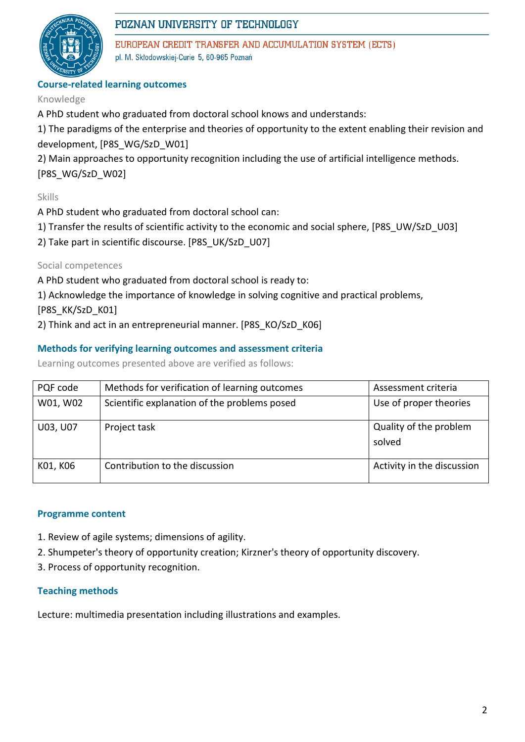

# POZNAN UNIVERSITY OF TECHNOLOGY

EUROPEAN CREDIT TRANSFER AND ACCUMULATION SYSTEM (ECTS) pl. M. Skłodowskiej-Curie 5, 60-965 Poznań

# **Course-related learning outcomes**

# Knowledge

A PhD student who graduated from doctoral school knows and understands:

1) The paradigms of the enterprise and theories of opportunity to the extent enabling their revision and development, [P8S\_WG/SzD\_W01]

2) Main approaches to opportunity recognition including the use of artificial intelligence methods. [P8S\_WG/SzD\_W02]

# Skills

A PhD student who graduated from doctoral school can:

- 1) Transfer the results of scientific activity to the economic and social sphere, [P8S\_UW/SzD\_U03]
- 2) Take part in scientific discourse. [P8S\_UK/SzD\_U07]

Social competences

A PhD student who graduated from doctoral school is ready to:

1) Acknowledge the importance of knowledge in solving cognitive and practical problems,

[P8S\_KK/SzD\_K01]

2) Think and act in an entrepreneurial manner. [P8S\_KO/SzD\_K06]

# **Methods for verifying learning outcomes and assessment criteria**

Learning outcomes presented above are verified as follows:

| PQF code | Methods for verification of learning outcomes | Assessment criteria              |
|----------|-----------------------------------------------|----------------------------------|
| W01, W02 | Scientific explanation of the problems posed  | Use of proper theories           |
| U03, U07 | Project task                                  | Quality of the problem<br>solved |
| K01, K06 | Contribution to the discussion                | Activity in the discussion       |

## **Programme content**

- 1. Review of agile systems; dimensions of agility.
- 2. Shumpeter's theory of opportunity creation; Kirzner's theory of opportunity discovery.
- 3. Process of opportunity recognition.

## **Teaching methods**

Lecture: multimedia presentation including illustrations and examples.